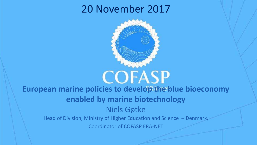## 20 November 2017



# **COFASP European marine policies to develop the blue bioeconomy enabled by marine biotechnology** Niels Gøtke Head of Division, Ministry of Higher Education and Science – Denmark,

Coordinator of COFASP ERA-NET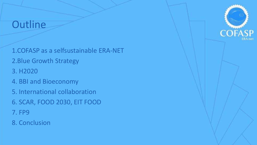#### **Outline**

1.COFASP as a selfsustainable ERA-NET 2.Blue Growth Strategy 3. H2020 4. BBI and Bioeconomy 5. International collaboration

- 6. SCAR, FOOD 2030, EIT FOOD
- 7. FP9
- 8. Conclusion

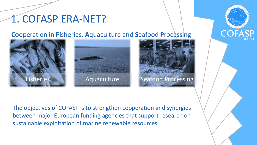## 1. COFASP ERA-NET?

#### **Co**operation in **Fi**sheries, **A**quaculture and **S**eafood **P**rocessing







The objectives of COFASP is to strengthen cooperation and synergies between major European funding agencies that support research on sustainable exploitation of marine renewable resources.

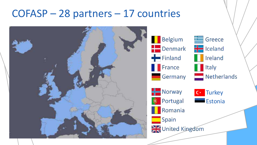## COFASP – 28 partners – 17 countries



**Belgium** Denmark - Iceland Finland **I**I Ireland  $\blacksquare$  France Germany  $\frac{1}{2}$  Norway **D** Portugal Romania Spain United Kingdom





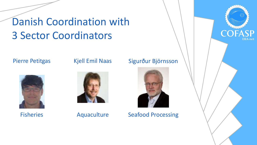# Danish Coordination with 3 Sector Coordinators

#### Pierre Petitgas

#### Kjell Emil Naas

Fisheries



Aquaculture

#### Sigurður Björnsson



Seafood Processing

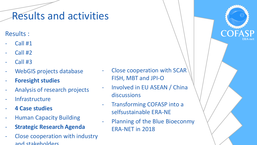## Results and activities

Results :

- Call #1
- Call #2
- Call #3
- WebGIS projects database
- **Foresight studies**
- Analysis of research projects
- **Infrastructure**
- **4 Case studies**
- **Human Capacity Building**
- **Strategic Research Agenda**
- Close cooperation with industry and stakeholders
- Close cooperation with SCAR $\overline{ }$ FISH, MBT and JPI-O
- Involved in EU ASEAN / China discussions
- Transforming COFASP into a selfsustainable ERA-NE
- Planning of the Blue Bioeconmy ERA-NET in 2018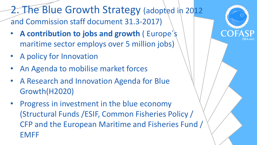2. The Blue Growth Strategy (adopted in 2012 and Commission staff document 31.3-2017)

- **A contribution to jobs and growth** ( Europe´s maritime sector employs over 5 million jobs)
- A policy for Innovation
- An Agenda to mobilise market forces
- A Research and Innovation Agenda for Blue Growth(H2020)
- Progress in investment in the blue economy (Structural Funds /ESIF, Common Fisheries Policy / CFP and the European Maritime and Fisheries Fund / EMFF

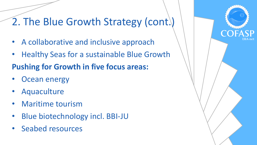# 2. The Blue Growth Strategy (cont.)

- A collaborative and inclusive approach
- Healthy Seas for a sustainable Blue Growth

#### **Pushing for Growth in five focus areas:**

- **Ocean energy**
- **Aquaculture**
- Maritime tourism
- Blue biotechnology incl. BBI-JU
- Seabed resources

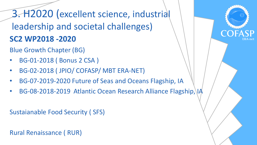3. H2020 (excellent science, industrial leadership and societal challenges) **SC2 WP2018 -2020** 

Blue Growth Chapter (BG)

- BG-01-2018 ( Bonus 2 CSA )
- BG-02-2018 ( JPIO/ COFASP/ MBT ERA-NET)
- BG-07-2019-2020 Future of Seas and Oceans Flagship, IA
- BG-08-2018-2019 Atlantic Ocean Research Alliance Flagship, IA

Sustaianable Food Security ( SFS)

Rural Renaissance ( RUR)

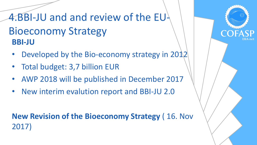4.BBI-JU and and review of the EU-Bioeconomy Strategy **BBI-JU**

- Developed by the Bio-economy strategy in 2012
- Total budget: 3,7 billion EUR
- AWP 2018 will be published in December 2017
- New interim evalution report and BBI-JU 2.0

#### **New Revision of the Bioeconomy Strategy** ( 16. Nov 2017)

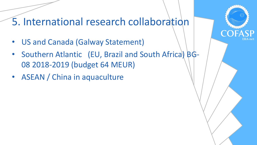## 5. International research collaboration

- US and Canada (Galway Statement)
- Southern Atlantic (EU, Brazil and South Africa) BG-08 2018-2019 (budget 64 MEUR)
- ASEAN / China in aquaculture

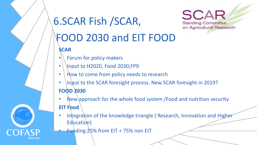

# 6.SCAR Fish /SCAR,

**SCAR Standing Committee** on Agricultural Research

# FOOD 2030 and EIT FOOD

**SCAR**

- Forum for policy makers
- $\cdot$  | Input to H2020, Food 2030, FP9
- How to come from policy needs to research
- Input to the SCAR foresight process. New SCAR foresight in 2019? **FOOD 2030**
- New approach for the whole food system / Food and nutrition security **EIT Food**
- Integration of the knowledge triangle (Research, Innovation and Higher Education)
- **Funding: 25% from EIT + 75% non EIT**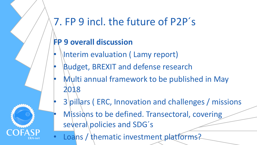# 7. FP 9 incl. the future of P2P´s

#### **FP 9 overall discussion**

- **Interim evaluation (Lamy report)**
- Budget, BREXIT and defense research
- Multi annual framework to be published in May 2018
- 3 pillars ( ERC, Innovation and challenges / missions
- Missions to be defined. Transectoral, covering several policies and SDG's
- Loans / thematic investment platforms?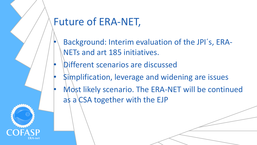# Future of ERA-NET,

- Background: Interim evaluation of the JPI´s, ERA-NETs and art 185 initiatives.
- Different scenarios are discussed
- Simplification, leverage and widening are issues
- Most likely scenario. The ERA-NET will be continued as a  $CSA$  together with the EJP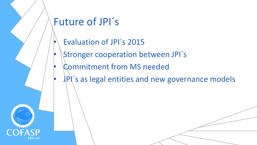# Future of JPI´s

- Evaluation of JPI´s 2015
- Stronger cooperation between JPI´s
- Commitment from MS needed
- JPI's as legal entities and new governance models

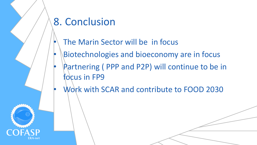# 8. Conclusion

- The Marin Sector will be in focus
- Biotechnologies and bioeconomy are in focus
- Partnering (PPP and P2P) will continue to be in focus in FP9
- Work with SCAR and contribute to FOOD 2030